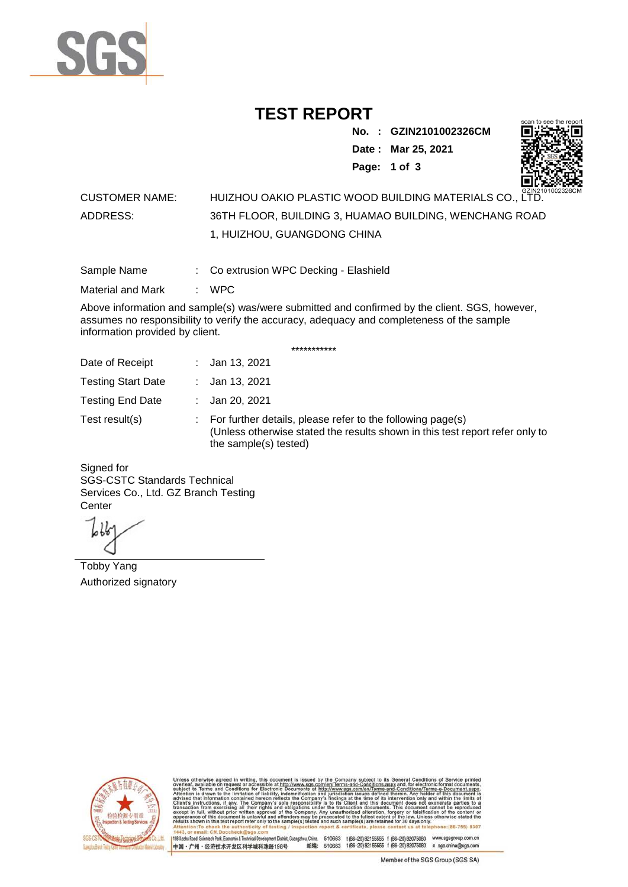

# **TEST REPORT**

**No. : GZIN2101002326CM**

**Date : Mar 25, 2021**



**Page: 1 of 3** 

### CUSTOMER NAME: HUIZHOU OAKIO PLASTIC WOOD BUILDING MATERIALS CO., LTD. ADDRESS: 36TH FLOOR, BUILDING 3, HUAMAO BUILDING, WENCHANG ROAD 1, HUIZHOU, GUANGDONG CHINA

Sample Name : Co extrusion WPC Decking - Elashield

Material and Mark : WPC

Above information and sample(s) was/were submitted and confirmed by the client. SGS, however, assumes no responsibility to verify the accuracy, adequacy and completeness of the sample information provided by client.

\*\*\*\*\*\*\*\*\*\*\*

| Date of Receipt           | : Jan 13, 2021                                                                                                                                                        |
|---------------------------|-----------------------------------------------------------------------------------------------------------------------------------------------------------------------|
| <b>Testing Start Date</b> | : Jan 13, 2021                                                                                                                                                        |
| <b>Testing End Date</b>   | : Jan 20, 2021                                                                                                                                                        |
| Test result(s)            | : For further details, please refer to the following page(s)<br>(Unless otherwise stated the results shown in this test report refer only to<br>the sample(s) tested) |

Signed for SGS-CSTC Standards Technical Services Co., Ltd. GZ Branch Testing **Center** 

Tobby Yang Authorized signatory



510663 t(86-20) 82155555 f (86-20) 82075080 www.sgsgroup.com.cn<br>510663 t(86-20) 82155555 f (86-20) 82075080 e sgs.china@sgs.com 198 Kezhu Road, Scientech Park, Eco nomic & Technical Devel tou, China. ant District C 邮编: 中国·广州·经济技术开发区科学城科珠路198号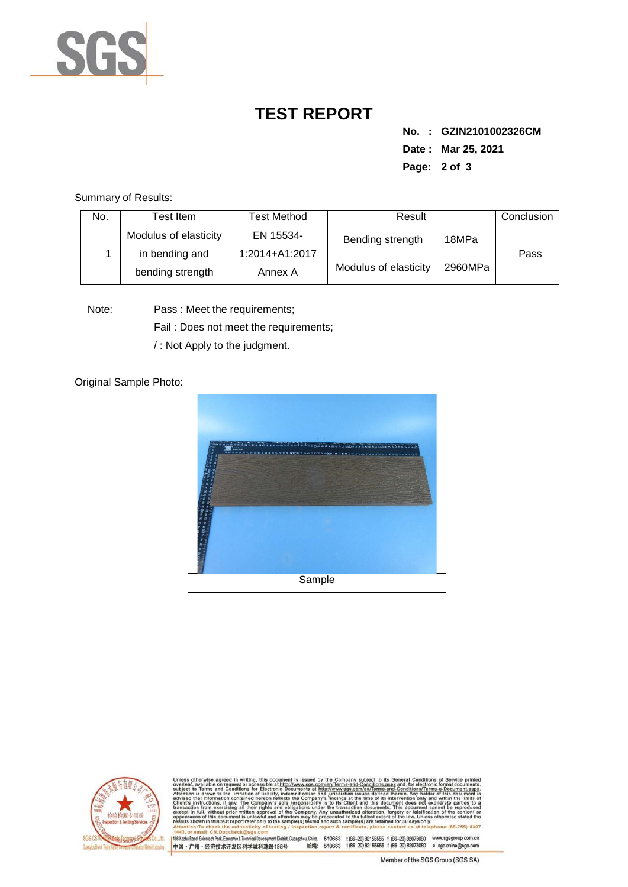

# **TEST REPORT**

**No. : GZIN2101002326CM Date : Mar 25, 2021 Page: 2 of 3** 

Summary of Results:

| No. | Test Item.                              | Test Method                 | Result                |         | Conclusion |
|-----|-----------------------------------------|-----------------------------|-----------------------|---------|------------|
|     | Modulus of elasticity<br>in bending and | EN 15534-<br>1:2014+A1:2017 | Bending strength      | 18MPa   | Pass       |
|     | bending strength                        | Annex A                     | Modulus of elasticity | 2960MPa |            |

Note: Pass : Meet the requirements;

Fail : Does not meet the requirements;

/ : Not Apply to the judgment.

#### Original Sample Photo:





:onditions/Terms-e-Do<br>ein. Anv. holder of this nentDistrict,Guangzhou,China. 510663 t (86–20) 82155555 f (86–20) 82075080 www.sgsgroup.com.cn<br>格198号 邮编: 510663 t (86–20) 82155555 f (86–20) 82075080 e sgs.china@sgs.com 198 Kezhu Road, Scientech Park, Economic & Technical Develo 中国·广州·经济技术开发区科学城科珠路198号